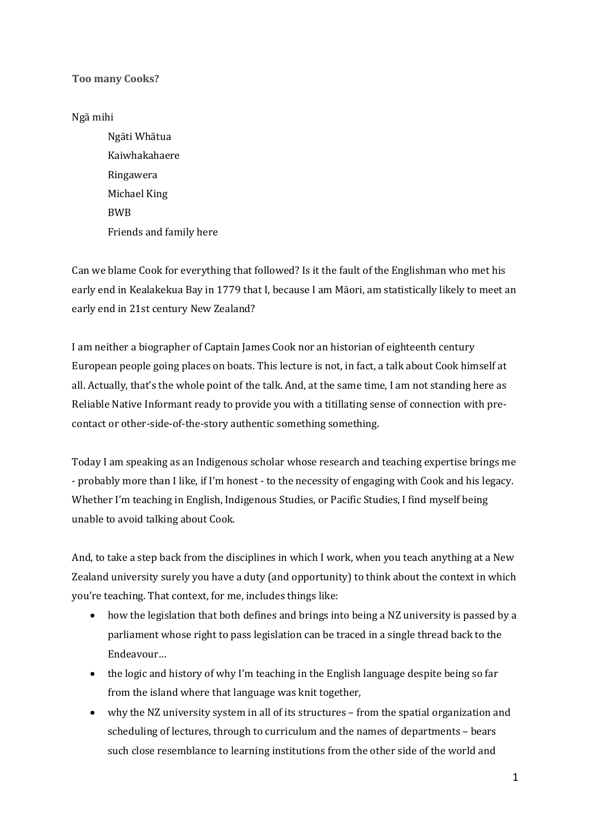## **Too many Cooks?**

## Ngā mihi

Ngāti Whātua Kaiwhakahaere Ringawera Michael King BWB Friends and family here

Can we blame Cook for everything that followed? Is it the fault of the Englishman who met his early end in Kealakekua Bay in 1779 that I, because I am Māori, am statistically likely to meet an early end in 21st century New Zealand?

I am neither a biographer of Captain James Cook nor an historian of eighteenth century European people going places on boats. This lecture is not, in fact, a talk about Cook himself at all. Actually, that's the whole point of the talk. And, at the same time, I am not standing here as Reliable Native Informant ready to provide you with a titillating sense of connection with precontact or other-side-of-the-story authentic something something.

Today I am speaking as an Indigenous scholar whose research and teaching expertise brings me - probably more than I like, if I'm honest - to the necessity of engaging with Cook and his legacy. Whether I'm teaching in English, Indigenous Studies, or Pacific Studies, I find myself being unable to avoid talking about Cook.

And, to take a step back from the disciplines in which I work, when you teach anything at a New Zealand university surely you have a duty (and opportunity) to think about the context in which you're teaching. That context, for me, includes things like:

- how the legislation that both defines and brings into being a NZ university is passed by a parliament whose right to pass legislation can be traced in a single thread back to the Endeavour…
- the logic and history of why I'm teaching in the English language despite being so far from the island where that language was knit together,
- why the NZ university system in all of its structures from the spatial organization and scheduling of lectures, through to curriculum and the names of departments - bears such close resemblance to learning institutions from the other side of the world and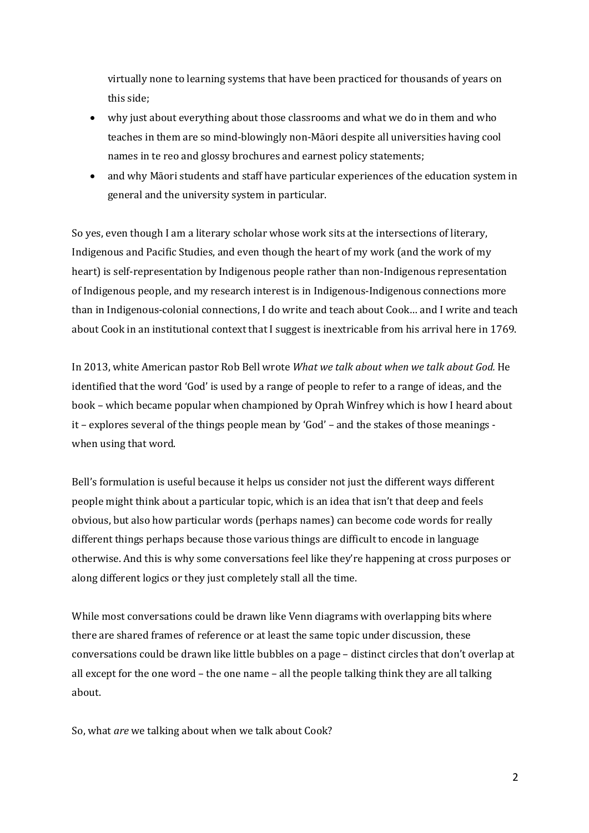virtually none to learning systems that have been practiced for thousands of years on this side:

- why just about everything about those classrooms and what we do in them and who teaches in them are so mind-blowingly non-Māori despite all universities having cool names in te reo and glossy brochures and earnest policy statements;
- and why Māori students and staff have particular experiences of the education system in general and the university system in particular.

So yes, even though I am a literary scholar whose work sits at the intersections of literary, Indigenous and Pacific Studies, and even though the heart of my work (and the work of my heart) is self-representation by Indigenous people rather than non-Indigenous representation of Indigenous people, and my research interest is in Indigenous-Indigenous connections more than in Indigenous-colonial connections, I do write and teach about Cook... and I write and teach about Cook in an institutional context that I suggest is inextricable from his arrival here in 1769.

In 2013, white American pastor Rob Bell wrote *What we talk about when we talk about God.* He identified that the word 'God' is used by a range of people to refer to a range of ideas, and the book - which became popular when championed by Oprah Winfrey which is how I heard about it – explores several of the things people mean by 'God' – and the stakes of those meanings when using that word.

Bell's formulation is useful because it helps us consider not just the different ways different people might think about a particular topic, which is an idea that isn't that deep and feels obvious, but also how particular words (perhaps names) can become code words for really different things perhaps because those various things are difficult to encode in language otherwise. And this is why some conversations feel like they're happening at cross purposes or along different logics or they just completely stall all the time.

While most conversations could be drawn like Venn diagrams with overlapping bits where there are shared frames of reference or at least the same topic under discussion, these conversations could be drawn like little bubbles on a page - distinct circles that don't overlap at all except for the one word – the one name – all the people talking think they are all talking about.

So, what *are* we talking about when we talk about Cook?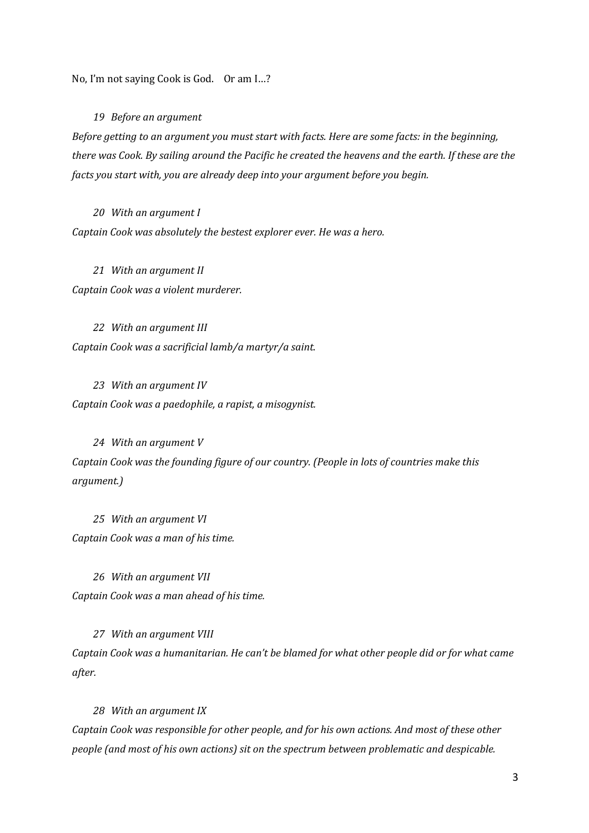No, I'm not saying Cook is God. Or am I...?

19 *Before* an argument

*Before getting to an argument you must start with facts. Here are some facts: in the beginning, there* was *Cook.* By sailing around the Pacific he created the heavens and the earth. If these are the *facts* you start with, you are already deep into your argument before you begin.

20 *With an argument I Captain Cook was absolutely the bestest explorer ever. He was a hero.* 

21 With an argument II *Captain Cook was a violent murderer.* 

22 *With an argument III Captain Cook was a sacrificial lamb/a martyr/a saint.* 

23 *With an argument IV Captain Cook was a paedophile, a rapist, a misogynist.* 

24 *With an argument* V *Captain Cook was the founding figure of our country. (People in lots of countries make this argument.)*

25 With an argument VI *Captain Cook was a man of his time.* 

26 *With an argument VII Captain Cook was a man ahead of his time.* 

27 *With an argument VIII* Captain Cook was a humanitarian. He can't be blamed for what other people did or for what came after.

28 *With an argument IX* 

*Captain Cook was responsible for other people, and for his own actions. And most of these other people (and most of his own actions)* sit on the spectrum between problematic and despicable.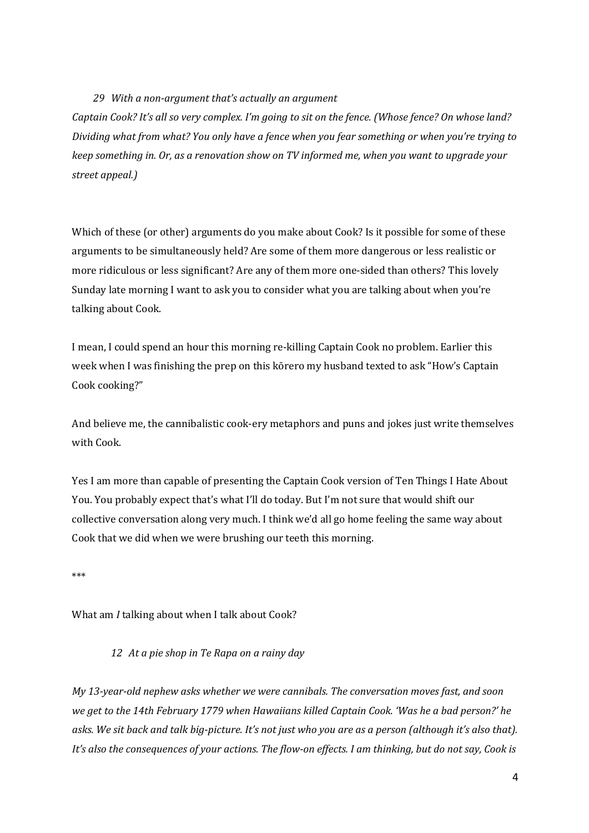#### 29 *With a non-argument that's actually an argument*

Captain Cook? It's all so very complex. I'm going to sit on the fence. (Whose fence? On whose land? *Dividing* what from what? You only have a fence when you fear something or when you're trying to *keep something in. Or, as a renovation show on TV informed me, when you want to upgrade your street appeal.)*

Which of these (or other) arguments do you make about Cook? Is it possible for some of these arguments to be simultaneously held? Are some of them more dangerous or less realistic or more ridiculous or less significant? Are any of them more one-sided than others? This lovely Sunday late morning I want to ask you to consider what you are talking about when you're talking about Cook.

I mean, I could spend an hour this morning re-killing Captain Cook no problem. Earlier this week when I was finishing the prep on this kōrero my husband texted to ask "How's Captain Cook cooking?"

And believe me, the cannibalistic cook-ery metaphors and puns and jokes just write themselves with Cook.

Yes I am more than capable of presenting the Captain Cook version of Ten Things I Hate About You. You probably expect that's what I'll do today. But I'm not sure that would shift our collective conversation along very much. I think we'd all go home feeling the same way about Cook that we did when we were brushing our teeth this morning.

\*\*\*

What am *I* talking about when I talk about Cook?

12 At a pie shop in Te Rapa on a rainy day

*My* 13-year-old nephew asks whether we were cannibals. The conversation moves fast, and soon *we get to the 14th February 1779 when Hawaiians killed Captain Cook. 'Was he a bad person?' he* asks. We sit back and talk big-picture. It's not just who you are as a person (although it's also that). *It's* also the consequences of your actions. The flow-on effects. I am thinking, but do not say, Cook is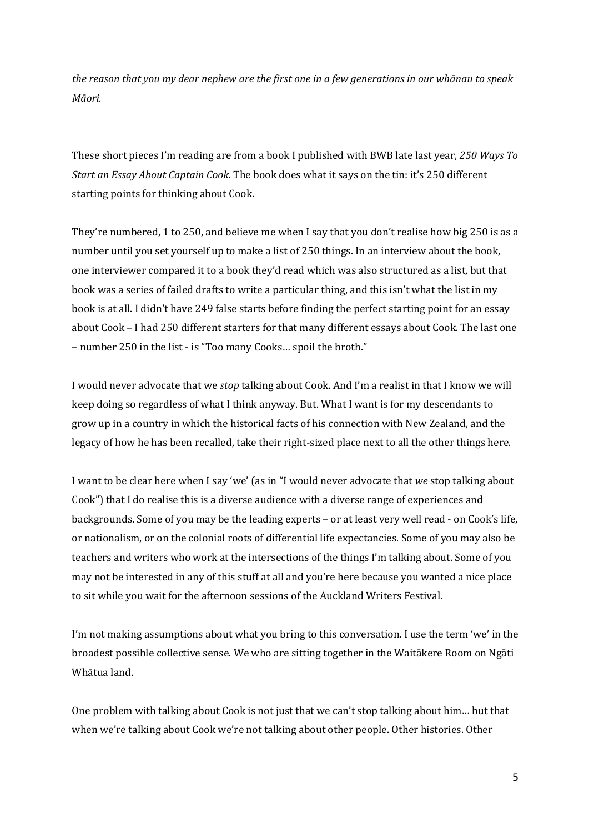*the reason that you my dear nephew are the first one in a few generations in our whānau to speak Māori.* 

These short pieces I'm reading are from a book I published with BWB late last year, 250 Ways To *Start an Essay About Captain Cook.* The book does what it says on the tin: it's 250 different starting points for thinking about Cook.

They're numbered, 1 to 250, and believe me when I say that you don't realise how big 250 is as a number until you set yourself up to make a list of 250 things. In an interview about the book, one interviewer compared it to a book they'd read which was also structured as a list, but that book was a series of failed drafts to write a particular thing, and this isn't what the list in my book is at all. I didn't have 249 false starts before finding the perfect starting point for an essay about Cook - I had 250 different starters for that many different essays about Cook. The last one – number 250 in the list - is "Too many Cooks... spoil the broth."

I would never advocate that we *stop* talking about Cook. And I'm a realist in that I know we will keep doing so regardless of what I think anyway. But. What I want is for my descendants to grow up in a country in which the historical facts of his connection with New Zealand, and the legacy of how he has been recalled, take their right-sized place next to all the other things here.

I want to be clear here when I say 'we' (as in "I would never advocate that *we* stop talking about Cook") that I do realise this is a diverse audience with a diverse range of experiences and backgrounds. Some of you may be the leading experts – or at least very well read - on Cook's life, or nationalism, or on the colonial roots of differential life expectancies. Some of you may also be teachers and writers who work at the intersections of the things I'm talking about. Some of you may not be interested in any of this stuff at all and you're here because you wanted a nice place to sit while you wait for the afternoon sessions of the Auckland Writers Festival.

I'm not making assumptions about what you bring to this conversation. I use the term 'we' in the broadest possible collective sense. We who are sitting together in the Waitākere Room on Ngāti Whātua land.

One problem with talking about Cook is not just that we can't stop talking about him... but that when we're talking about Cook we're not talking about other people. Other histories. Other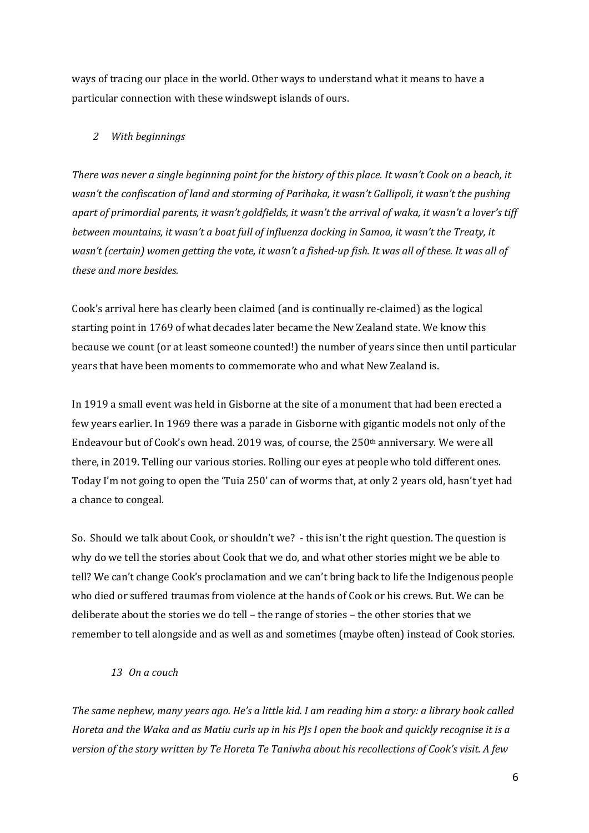ways of tracing our place in the world. Other ways to understand what it means to have a particular connection with these windswept islands of ours.

#### *2 With beginnings*

*There* was never a single beginning point for the history of this place. It wasn't Cook on a beach, it *wasn't* the confiscation of land and storming of Parihaka, it wasn't Gallipoli, it wasn't the pushing *apart of primordial parents, it wasn't goldfields, it wasn't the arrival of waka, it wasn't a lover's tiff between mountains, it wasn't a boat full of influenza docking in Samoa, it wasn't the Treaty, it* wasn't (certain) women getting the vote, it wasn't a fished-up fish. It was all of these. It was all of *these and more besides.*

Cook's arrival here has clearly been claimed (and is continually re-claimed) as the logical starting point in 1769 of what decades later became the New Zealand state. We know this because we count (or at least someone counted!) the number of years since then until particular years that have been moments to commemorate who and what New Zealand is.

In 1919 a small event was held in Gisborne at the site of a monument that had been erected a few years earlier. In 1969 there was a parade in Gisborne with gigantic models not only of the Endeavour but of Cook's own head. 2019 was, of course, the 250<sup>th</sup> anniversary. We were all there, in 2019. Telling our various stories. Rolling our eyes at people who told different ones. Today I'm not going to open the 'Tuia 250' can of worms that, at only 2 years old, hasn't yet had a chance to congeal.

So. Should we talk about Cook, or shouldn't we? - this isn't the right question. The question is why do we tell the stories about Cook that we do, and what other stories might we be able to tell? We can't change Cook's proclamation and we can't bring back to life the Indigenous people who died or suffered traumas from violence at the hands of Cook or his crews. But. We can be deliberate about the stories we do tell – the range of stories – the other stories that we remember to tell alongside and as well as and sometimes (maybe often) instead of Cook stories.

#### *13 On a couch*

The same nephew, many years ago. He's a little kid. I am reading him a story: a library book called *Horeta and the Waka and as Matiu curls up in his PJs I open the book and quickly recognise it is a version of the story written by Te Horeta Te Taniwha about his recollections of Cook's visit. A few*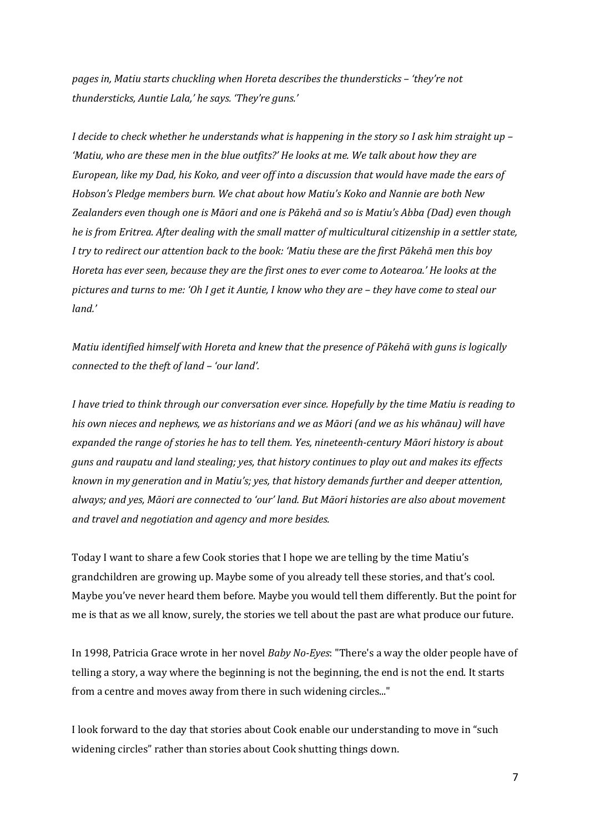*pages in, Matiu starts chuckling when Horeta describes the thundersticks – 'they're not thundersticks, Auntie Lala,' he says. 'They're guns.'* 

*I* decide to check whether he understands what is happening in the story so I ask him straight up – 'Matiu, who are these men in the blue outfits?' He looks at me. We talk about how they are *European, like my Dad, his Koko, and veer off into a discussion that would have made the ears of Hobson's Pledge members burn. We chat about how Matiu's Koko and Nannie are both New* Zealanders even though one is Māori and one is Pākehā and so is Matiu's Abba (Dad) even though *he* is from Eritrea. After dealing with the small matter of multicultural citizenship in a settler state, *I* try to redirect our attention back to the book: 'Matiu these are the first Pākehā men this boy *Horeta has ever seen, because they are the first ones to ever come to Aotearoa.' He looks at the pictures* and *turns* to me: 'Oh I get it Auntie, I know who they are – they have come to steal our *land.'* 

*Matiu identified himself with Horeta and knew that the presence of Pākehā with guns is logically connected to the theft of land – 'our land'.* 

*I* have tried to think through our conversation ever since. Hopefully by the time Matiu is reading to his own nieces and nephews, we as historians and we as Māori (and we as his whānau) will have expanded the range of stories he has to tell them. Yes, nineteenth-century Māori history is about *guns* and raupatu and land stealing; yes, that history continues to play out and makes its effects *known in my generation and in Matiu's; yes, that history demands further and deeper attention.* always; and yes, Māori are connected to 'our' land. But Māori histories are also about movement and travel and negotiation and agency and more besides.

Today I want to share a few Cook stories that I hope we are telling by the time Matiu's grandchildren are growing up. Maybe some of you already tell these stories, and that's cool. Maybe you've never heard them before. Maybe you would tell them differently. But the point for me is that as we all know, surely, the stories we tell about the past are what produce our future.

In 1998, Patricia Grace wrote in her novel *Baby No-Eyes*: "There's a way the older people have of telling a story, a way where the beginning is not the beginning, the end is not the end. It starts from a centre and moves away from there in such widening circles..."

I look forward to the day that stories about Cook enable our understanding to move in "such widening circles" rather than stories about Cook shutting things down.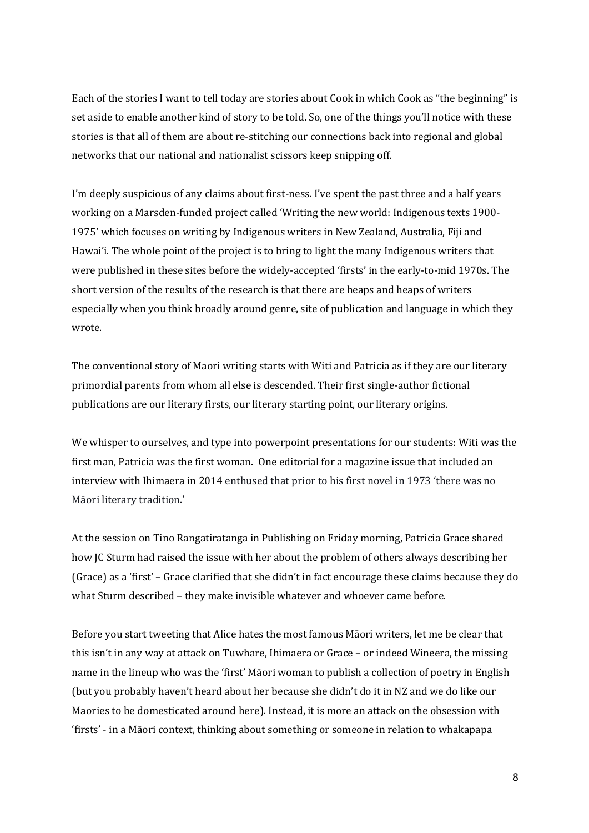Each of the stories I want to tell today are stories about Cook in which Cook as "the beginning" is set aside to enable another kind of story to be told. So, one of the things you'll notice with these stories is that all of them are about re-stitching our connections back into regional and global networks that our national and nationalist scissors keep snipping off.

I'm deeply suspicious of any claims about first-ness. I've spent the past three and a half years working on a Marsden-funded project called 'Writing the new world: Indigenous texts 1900-1975' which focuses on writing by Indigenous writers in New Zealand, Australia, Fiji and Hawai'i. The whole point of the project is to bring to light the many Indigenous writers that were published in these sites before the widely-accepted 'firsts' in the early-to-mid 1970s. The short version of the results of the research is that there are heaps and heaps of writers especially when you think broadly around genre, site of publication and language in which they wrote. 

The conventional story of Maori writing starts with Witi and Patricia as if they are our literary primordial parents from whom all else is descended. Their first single-author fictional publications are our literary firsts, our literary starting point, our literary origins.

We whisper to ourselves, and type into powerpoint presentations for our students: Witi was the first man, Patricia was the first woman. One editorial for a magazine issue that included an interview with Ihimaera in 2014 enthused that prior to his first novel in 1973 'there was no Māori literary tradition.'

At the session on Tino Rangatiratanga in Publishing on Friday morning, Patricia Grace shared how JC Sturm had raised the issue with her about the problem of others always describing her (Grace) as a 'first' - Grace clarified that she didn't in fact encourage these claims because they do what Sturm described - they make invisible whatever and whoever came before.

Before you start tweeting that Alice hates the most famous Maori writers, let me be clear that this isn't in any way at attack on Tuwhare, Ihimaera or Grace – or indeed Wineera, the missing name in the lineup who was the 'first' Māori woman to publish a collection of poetry in English (but you probably haven't heard about her because she didn't do it in NZ and we do like our Maories to be domesticated around here). Instead, it is more an attack on the obsession with 'firsts' - in a Māori context, thinking about something or someone in relation to whakapapa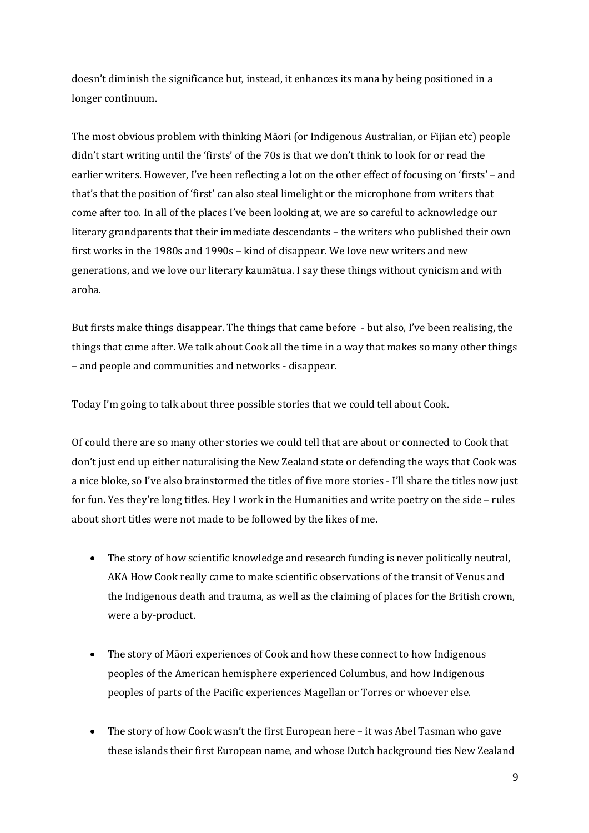doesn't diminish the significance but, instead, it enhances its mana by being positioned in a longer continuum.

The most obvious problem with thinking Māori (or Indigenous Australian, or Fijian etc) people didn't start writing until the 'firsts' of the 70s is that we don't think to look for or read the earlier writers. However, I've been reflecting a lot on the other effect of focusing on 'firsts' – and that's that the position of 'first' can also steal limelight or the microphone from writers that come after too. In all of the places I've been looking at, we are so careful to acknowledge our literary grandparents that their immediate descendants - the writers who published their own first works in the  $1980s$  and  $1990s$  – kind of disappear. We love new writers and new generations, and we love our literary kaumātua. I say these things without cynicism and with aroha.

But firsts make things disappear. The things that came before - but also, I've been realising, the things that came after. We talk about Cook all the time in a way that makes so many other things – and people and communities and networks - disappear.

Today I'm going to talk about three possible stories that we could tell about Cook.

Of could there are so many other stories we could tell that are about or connected to Cook that don't just end up either naturalising the New Zealand state or defending the ways that Cook was a nice bloke, so I've also brainstormed the titles of five more stories - I'll share the titles now just for fun. Yes they're long titles. Hey I work in the Humanities and write poetry on the side – rules about short titles were not made to be followed by the likes of me.

- The story of how scientific knowledge and research funding is never politically neutral, AKA How Cook really came to make scientific observations of the transit of Venus and the Indigenous death and trauma, as well as the claiming of places for the British crown, were a by-product.
- The story of Māori experiences of Cook and how these connect to how Indigenous peoples of the American hemisphere experienced Columbus, and how Indigenous peoples of parts of the Pacific experiences Magellan or Torres or whoever else.
- The story of how Cook wasn't the first European here it was Abel Tasman who gave these islands their first European name, and whose Dutch background ties New Zealand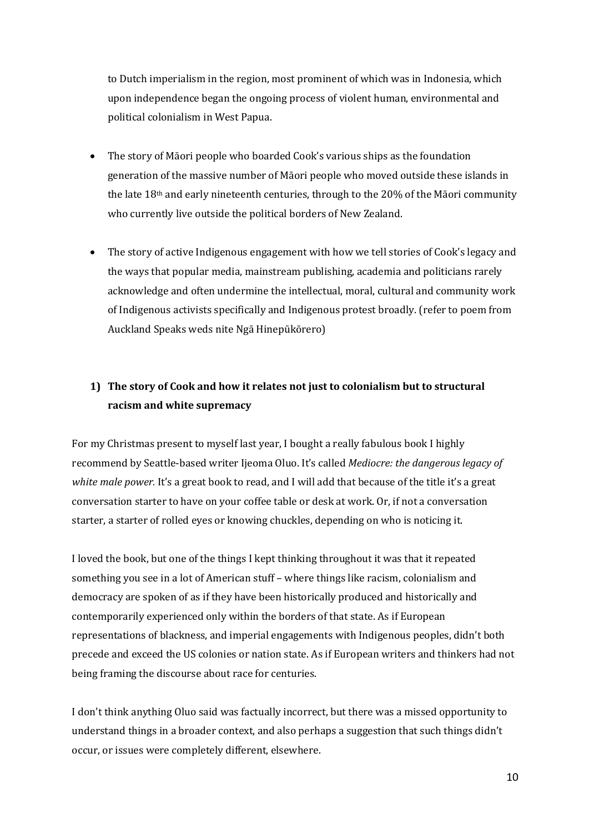to Dutch imperialism in the region, most prominent of which was in Indonesia, which upon independence began the ongoing process of violent human, environmental and political colonialism in West Papua.

- The story of Māori people who boarded Cook's various ships as the foundation generation of the massive number of Māori people who moved outside these islands in the late  $18<sup>th</sup>$  and early nineteenth centuries, through to the  $20%$  of the Māori community who currently live outside the political borders of New Zealand.
- The story of active Indigenous engagement with how we tell stories of Cook's legacy and the ways that popular media, mainstream publishing, academia and politicians rarely acknowledge and often undermine the intellectual, moral, cultural and community work of Indigenous activists specifically and Indigenous protest broadly. (refer to poem from Auckland Speaks weds nite Ngā Hinepūkōrero)

# **1)** The story of Cook and how it relates not just to colonialism but to structural **racism and white supremacy**

For my Christmas present to myself last year, I bought a really fabulous book I highly recommend by Seattle-based writer Ijeoma Oluo. It's called *Mediocre: the dangerous legacy of white* male power. It's a great book to read, and I will add that because of the title it's a great conversation starter to have on your coffee table or desk at work. Or, if not a conversation starter, a starter of rolled eyes or knowing chuckles, depending on who is noticing it.

I loved the book, but one of the things I kept thinking throughout it was that it repeated something you see in a lot of American stuff - where things like racism, colonialism and democracy are spoken of as if they have been historically produced and historically and contemporarily experienced only within the borders of that state. As if European representations of blackness, and imperial engagements with Indigenous peoples, didn't both precede and exceed the US colonies or nation state. As if European writers and thinkers had not being framing the discourse about race for centuries.

I don't think anything Oluo said was factually incorrect, but there was a missed opportunity to understand things in a broader context, and also perhaps a suggestion that such things didn't occur, or issues were completely different, elsewhere.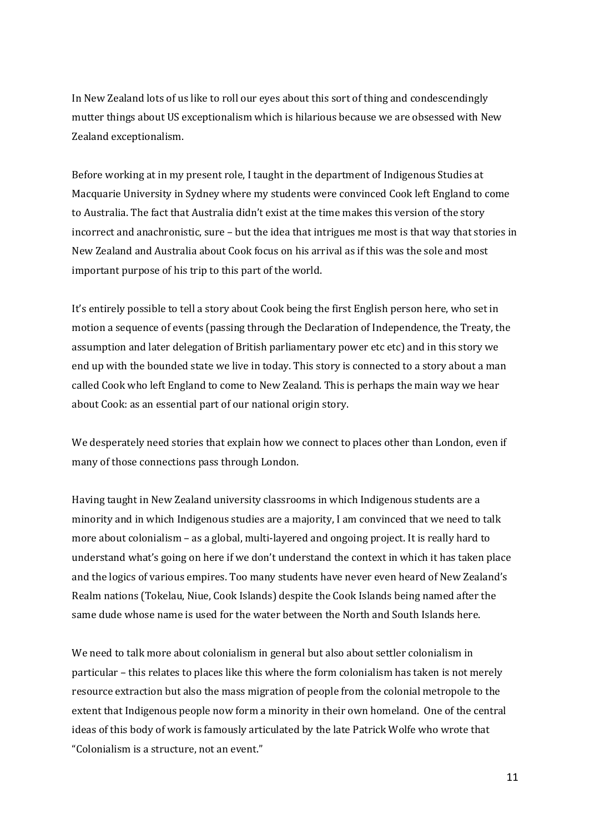In New Zealand lots of us like to roll our eyes about this sort of thing and condescendingly mutter things about US exceptionalism which is hilarious because we are obsessed with New Zealand exceptionalism.

Before working at in my present role, I taught in the department of Indigenous Studies at Macquarie University in Sydney where my students were convinced Cook left England to come to Australia. The fact that Australia didn't exist at the time makes this version of the story incorrect and anachronistic, sure - but the idea that intrigues me most is that way that stories in New Zealand and Australia about Cook focus on his arrival as if this was the sole and most important purpose of his trip to this part of the world.

It's entirely possible to tell a story about Cook being the first English person here, who set in motion a sequence of events (passing through the Declaration of Independence, the Treaty, the assumption and later delegation of British parliamentary power etc etc) and in this story we end up with the bounded state we live in today. This story is connected to a story about a man called Cook who left England to come to New Zealand. This is perhaps the main way we hear about Cook: as an essential part of our national origin story.

We desperately need stories that explain how we connect to places other than London, even if many of those connections pass through London.

Having taught in New Zealand university classrooms in which Indigenous students are a minority and in which Indigenous studies are a majority, I am convinced that we need to talk more about colonialism  $-$  as a global, multi-layered and ongoing project. It is really hard to understand what's going on here if we don't understand the context in which it has taken place and the logics of various empires. Too many students have never even heard of New Zealand's Realm nations (Tokelau, Niue, Cook Islands) despite the Cook Islands being named after the same dude whose name is used for the water between the North and South Islands here.

We need to talk more about colonialism in general but also about settler colonialism in particular – this relates to places like this where the form colonialism has taken is not merely resource extraction but also the mass migration of people from the colonial metropole to the extent that Indigenous people now form a minority in their own homeland. One of the central ideas of this body of work is famously articulated by the late Patrick Wolfe who wrote that "Colonialism is a structure, not an event."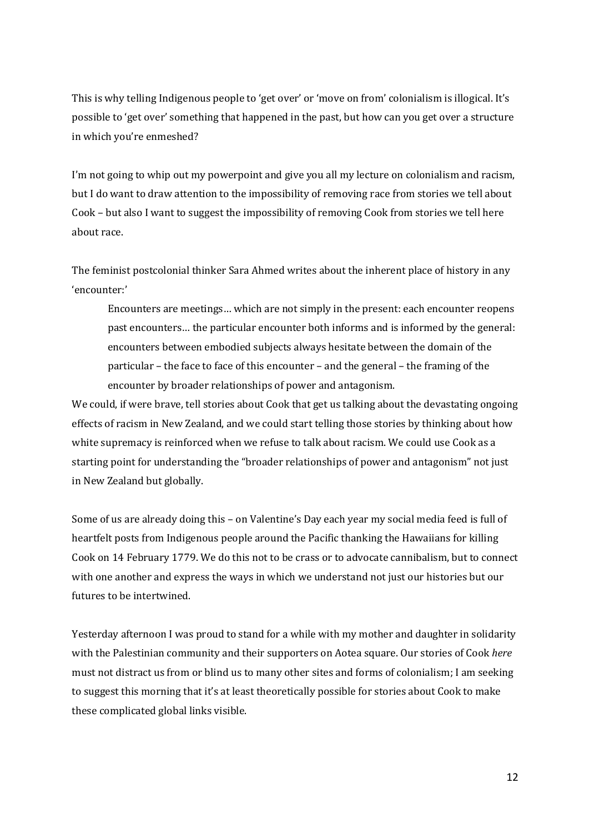This is why telling Indigenous people to 'get over' or 'move on from' colonialism is illogical. It's possible to 'get over' something that happened in the past, but how can you get over a structure in which you're enmeshed?

I'm not going to whip out my powerpoint and give you all my lecture on colonialism and racism, but I do want to draw attention to the impossibility of removing race from stories we tell about Cook – but also I want to suggest the impossibility of removing Cook from stories we tell here about race.

The feminist postcolonial thinker Sara Ahmed writes about the inherent place of history in any 'encounter:'

Encounters are meetings... which are not simply in the present: each encounter reopens past encounters... the particular encounter both informs and is informed by the general: encounters between embodied subjects always hesitate between the domain of the  $particular$  – the face to face of this encounter – and the general – the framing of the encounter by broader relationships of power and antagonism.

We could, if were brave, tell stories about Cook that get us talking about the devastating ongoing effects of racism in New Zealand, and we could start telling those stories by thinking about how white supremacy is reinforced when we refuse to talk about racism. We could use Cook as a starting point for understanding the "broader relationships of power and antagonism" not just in New Zealand but globally.

Some of us are already doing this – on Valentine's Day each year my social media feed is full of heartfelt posts from Indigenous people around the Pacific thanking the Hawaiians for killing Cook on 14 February 1779. We do this not to be crass or to advocate cannibalism, but to connect with one another and express the ways in which we understand not just our histories but our futures to be intertwined.

Yesterday afternoon I was proud to stand for a while with my mother and daughter in solidarity with the Palestinian community and their supporters on Aotea square. Our stories of Cook *here* must not distract us from or blind us to many other sites and forms of colonialism; I am seeking to suggest this morning that it's at least theoretically possible for stories about Cook to make these complicated global links visible.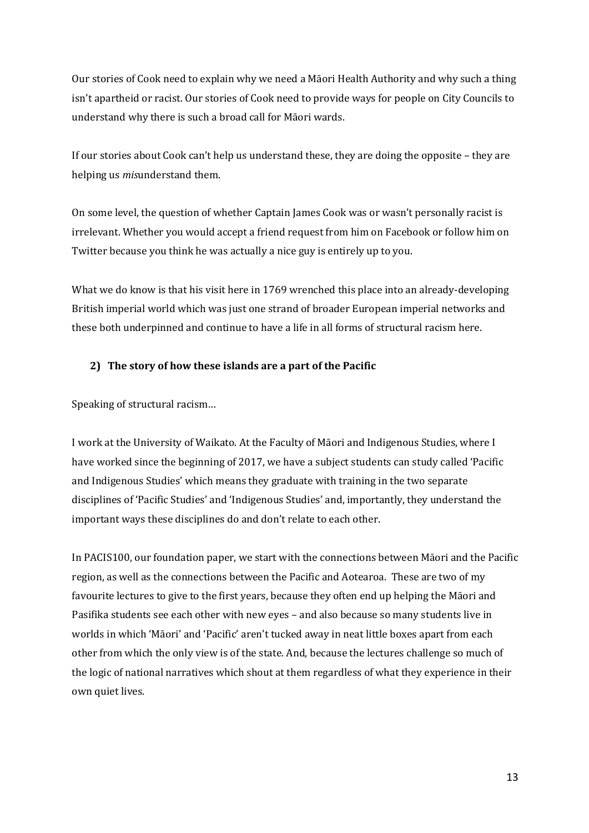Our stories of Cook need to explain why we need a Māori Health Authority and why such a thing isn't apartheid or racist. Our stories of Cook need to provide ways for people on City Councils to understand why there is such a broad call for Māori wards.

If our stories about  $\text{Cook can'}$  help us understand these, they are doing the opposite – they are helping us *mis*understand them.

On some level, the question of whether Captain James Cook was or wasn't personally racist is irrelevant. Whether you would accept a friend request from him on Facebook or follow him on Twitter because you think he was actually a nice guy is entirely up to you.

What we do know is that his visit here in 1769 wrenched this place into an already-developing British imperial world which was just one strand of broader European imperial networks and these both underpinned and continue to have a life in all forms of structural racism here.

### **2)** The story of how these islands are a part of the Pacific

Speaking of structural racism...

I work at the University of Waikato. At the Faculty of Māori and Indigenous Studies, where I have worked since the beginning of 2017, we have a subject students can study called 'Pacific and Indigenous Studies' which means they graduate with training in the two separate disciplines of 'Pacific Studies' and 'Indigenous Studies' and, importantly, they understand the important ways these disciplines do and don't relate to each other.

In PACIS100, our foundation paper, we start with the connections between Māori and the Pacific region, as well as the connections between the Pacific and Aotearoa. These are two of my favourite lectures to give to the first years, because they often end up helping the Māori and Pasifika students see each other with new eves - and also because so many students live in worlds in which 'Māori' and 'Pacific' aren't tucked away in neat little boxes apart from each other from which the only view is of the state. And, because the lectures challenge so much of the logic of national narratives which shout at them regardless of what they experience in their own quiet lives.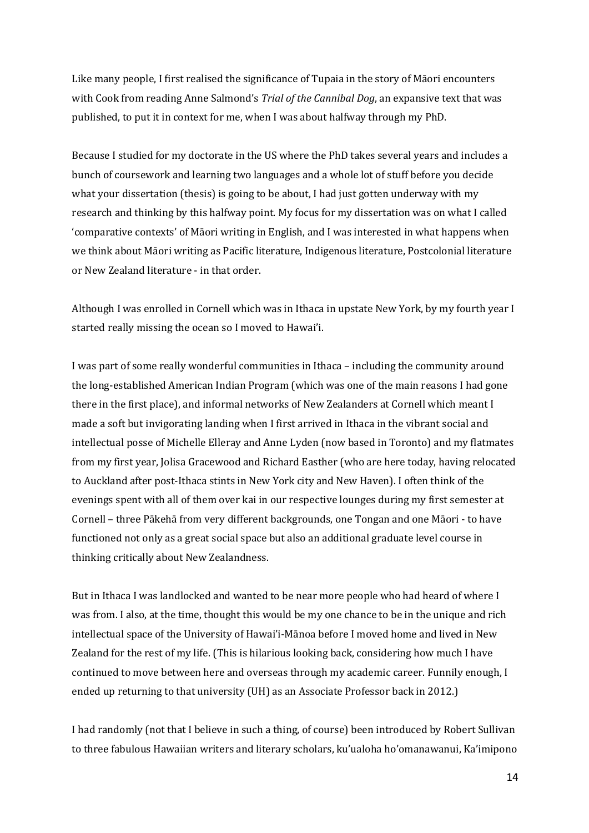Like many people, I first realised the significance of Tupaia in the story of Māori encounters with Cook from reading Anne Salmond's *Trial of the Cannibal Dog*, an expansive text that was published, to put it in context for me, when I was about halfway through my PhD.

Because I studied for my doctorate in the US where the PhD takes several years and includes a bunch of coursework and learning two languages and a whole lot of stuff before you decide what your dissertation (thesis) is going to be about, I had just gotten underway with my research and thinking by this halfway point. My focus for my dissertation was on what I called 'comparative contexts' of Māori writing in English, and I was interested in what happens when we think about Māori writing as Pacific literature, Indigenous literature, Postcolonial literature or New Zealand literature - in that order.

Although I was enrolled in Cornell which was in Ithaca in upstate New York, by my fourth year I started really missing the ocean so I moved to Hawai'i.

I was part of some really wonderful communities in Ithaca – including the community around the long-established American Indian Program (which was one of the main reasons I had gone there in the first place), and informal networks of New Zealanders at Cornell which meant I made a soft but invigorating landing when I first arrived in Ithaca in the vibrant social and intellectual posse of Michelle Elleray and Anne Lyden (now based in Toronto) and my flatmates from my first year, Jolisa Gracewood and Richard Easther (who are here today, having relocated to Auckland after post-Ithaca stints in New York city and New Haven). I often think of the evenings spent with all of them over kai in our respective lounges during my first semester at Cornell – three Pākehā from very different backgrounds, one Tongan and one Māori - to have functioned not only as a great social space but also an additional graduate level course in thinking critically about New Zealandness.

But in Ithaca I was landlocked and wanted to be near more people who had heard of where I was from. I also, at the time, thought this would be my one chance to be in the unique and rich intellectual space of the University of Hawai'i-Mānoa before I moved home and lived in New Zealand for the rest of my life. (This is hilarious looking back, considering how much I have continued to move between here and overseas through my academic career. Funnily enough, I ended up returning to that university (UH) as an Associate Professor back in 2012.)

I had randomly (not that I believe in such a thing, of course) been introduced by Robert Sullivan to three fabulous Hawaiian writers and literary scholars, ku'ualoha ho'omanawanui, Ka'imipono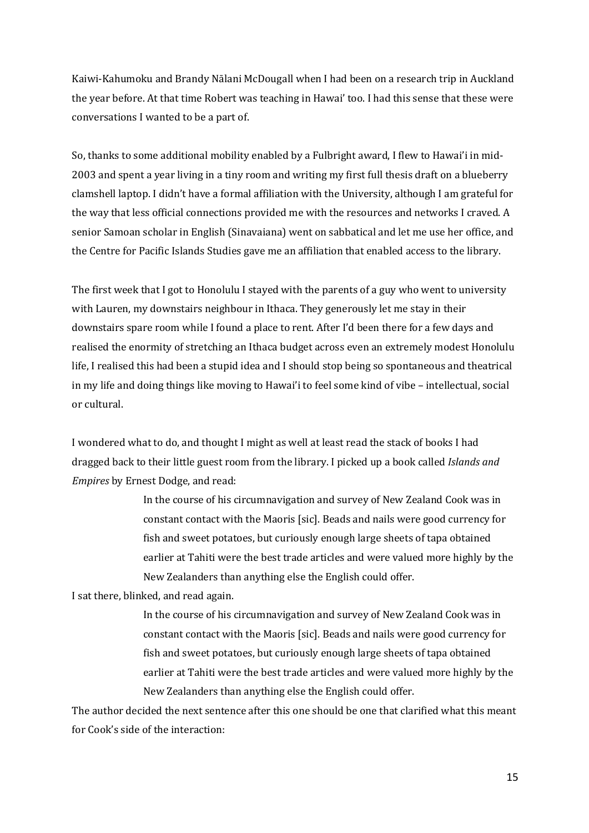Kaiwi-Kahumoku and Brandy Nālani McDougall when I had been on a research trip in Auckland the year before. At that time Robert was teaching in Hawai' too. I had this sense that these were conversations I wanted to be a part of.

So, thanks to some additional mobility enabled by a Fulbright award, I flew to Hawai'i in mid-2003 and spent a year living in a tiny room and writing my first full thesis draft on a blueberry clamshell laptop. I didn't have a formal affiliation with the University, although I am grateful for the way that less official connections provided me with the resources and networks I craved. A senior Samoan scholar in English (Sinavaiana) went on sabbatical and let me use her office, and the Centre for Pacific Islands Studies gave me an affiliation that enabled access to the library.

The first week that I got to Honolulu I stayed with the parents of a guy who went to university with Lauren, my downstairs neighbour in Ithaca. They generously let me stay in their downstairs spare room while I found a place to rent. After I'd been there for a few days and realised the enormity of stretching an Ithaca budget across even an extremely modest Honolulu life, I realised this had been a stupid idea and I should stop being so spontaneous and theatrical in my life and doing things like moving to Hawai'i to feel some kind of vibe - intellectual, social or cultural. 

I wondered what to do, and thought I might as well at least read the stack of books I had dragged back to their little guest room from the library. I picked up a book called *Islands and Empires* by Ernest Dodge, and read:

> In the course of his circumnavigation and survey of New Zealand Cook was in constant contact with the Maoris [sic]. Beads and nails were good currency for fish and sweet potatoes, but curiously enough large sheets of tapa obtained earlier at Tahiti were the best trade articles and were valued more highly by the New Zealanders than anything else the English could offer.

I sat there, blinked, and read again.

In the course of his circumnavigation and survey of New Zealand Cook was in constant contact with the Maoris [sic]. Beads and nails were good currency for fish and sweet potatoes, but curiously enough large sheets of tapa obtained earlier at Tahiti were the best trade articles and were valued more highly by the New Zealanders than anything else the English could offer.

The author decided the next sentence after this one should be one that clarified what this meant for Cook's side of the interaction: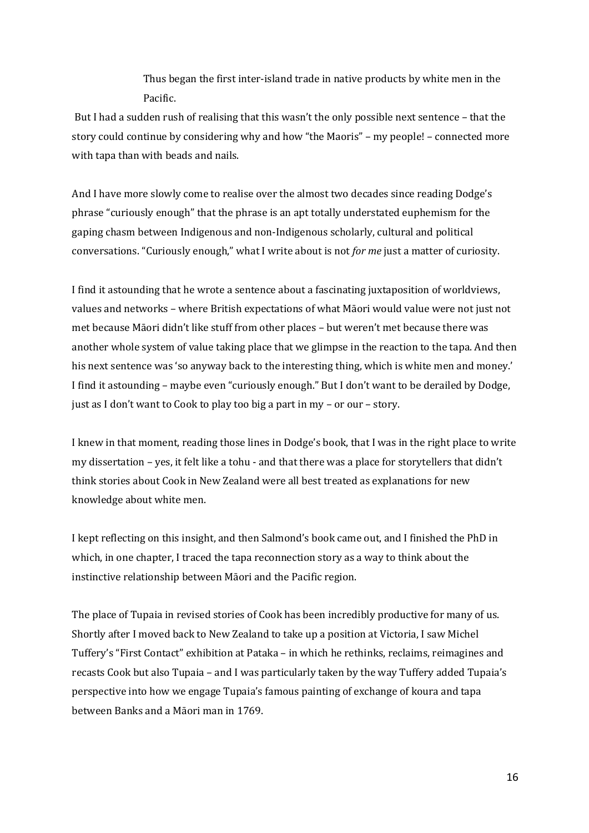Thus began the first inter-island trade in native products by white men in the Pacific.

But I had a sudden rush of realising that this wasn't the only possible next sentence – that the story could continue by considering why and how "the Maoris" – my people! – connected more with tapa than with beads and nails.

And I have more slowly come to realise over the almost two decades since reading Dodge's phrase "curiously enough" that the phrase is an apt totally understated euphemism for the gaping chasm between Indigenous and non-Indigenous scholarly, cultural and political conversations. "Curiously enough," what I write about is not *for me* just a matter of curiosity.

I find it astounding that he wrote a sentence about a fascinating juxtaposition of worldviews, values and networks - where British expectations of what Māori would value were not just not met because Māori didn't like stuff from other places - but weren't met because there was another whole system of value taking place that we glimpse in the reaction to the tapa. And then his next sentence was 'so anyway back to the interesting thing, which is white men and money.' I find it astounding – maybe even "curiously enough." But I don't want to be derailed by Dodge, just as I don't want to Cook to play too big a part in  $my - or our - story$ .

I knew in that moment, reading those lines in Dodge's book, that I was in the right place to write my dissertation – yes, it felt like a tohu - and that there was a place for storytellers that didn't think stories about Cook in New Zealand were all best treated as explanations for new knowledge about white men.

I kept reflecting on this insight, and then Salmond's book came out, and I finished the PhD in which, in one chapter, I traced the tapa reconnection story as a way to think about the instinctive relationship between Māori and the Pacific region.

The place of Tupaia in revised stories of Cook has been incredibly productive for many of us. Shortly after I moved back to New Zealand to take up a position at Victoria, I saw Michel Tuffery's "First Contact" exhibition at Pataka – in which he rethinks, reclaims, reimagines and recasts Cook but also Tupaia – and I was particularly taken by the way Tuffery added Tupaia's perspective into how we engage Tupaia's famous painting of exchange of koura and tapa between Banks and a Māori man in 1769.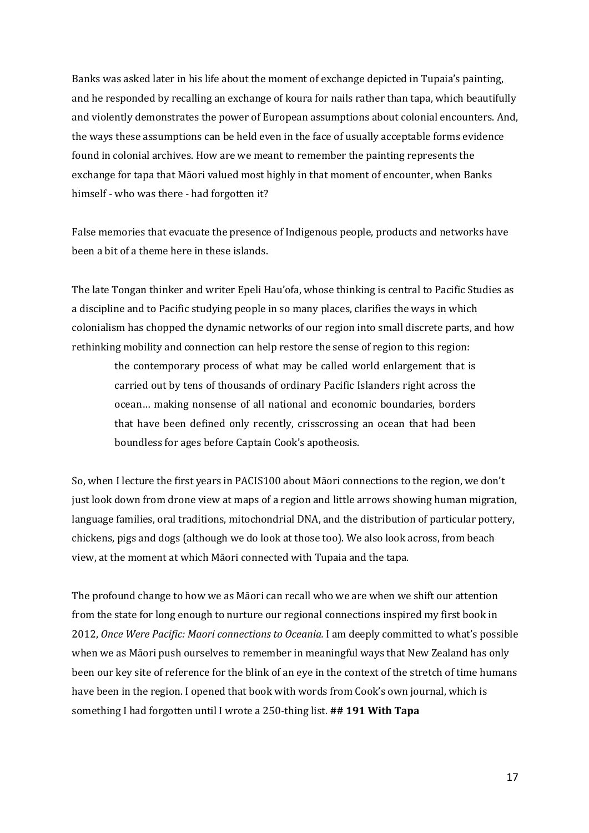Banks was asked later in his life about the moment of exchange depicted in Tupaia's painting, and he responded by recalling an exchange of koura for nails rather than tapa, which beautifully and violently demonstrates the power of European assumptions about colonial encounters. And, the ways these assumptions can be held even in the face of usually acceptable forms evidence found in colonial archives. How are we meant to remember the painting represents the exchange for tapa that Māori valued most highly in that moment of encounter, when Banks himself - who was there - had forgotten it?

False memories that evacuate the presence of Indigenous people, products and networks have been a bit of a theme here in these islands.

The late Tongan thinker and writer Epeli Hau'ofa, whose thinking is central to Pacific Studies as a discipline and to Pacific studying people in so many places, clarifies the ways in which colonialism has chopped the dynamic networks of our region into small discrete parts, and how rethinking mobility and connection can help restore the sense of region to this region:

the contemporary process of what may be called world enlargement that is carried out by tens of thousands of ordinary Pacific Islanders right across the ocean... making nonsense of all national and economic boundaries, borders that have been defined only recently, crisscrossing an ocean that had been boundless for ages before Captain Cook's apotheosis.

So, when I lecture the first years in PACIS100 about Māori connections to the region, we don't just look down from drone view at maps of a region and little arrows showing human migration, language families, oral traditions, mitochondrial DNA, and the distribution of particular pottery, chickens, pigs and dogs (although we do look at those too). We also look across, from beach view, at the moment at which Māori connected with Tupaia and the tapa.

The profound change to how we as Māori can recall who we are when we shift our attention from the state for long enough to nurture our regional connections inspired my first book in 2012, *Once Were Pacific: Maori connections to Oceania.* I am deeply committed to what's possible when we as Māori push ourselves to remember in meaningful ways that New Zealand has only been our key site of reference for the blink of an eye in the context of the stretch of time humans have been in the region. I opened that book with words from Cook's own journal, which is something I had forgotten until I wrote a 250-thing list. ## **191 With Tapa**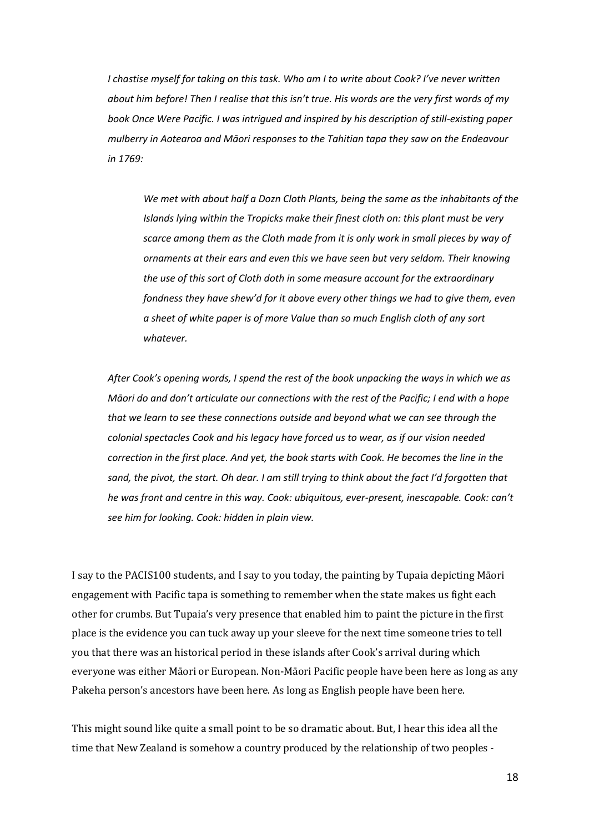*I chastise myself for taking on this task. Who am I to write about Cook? I've never written about him before! Then I realise that this isn't true. His words are the very first words of my book Once Were Pacific. I was intrigued and inspired by his description of still-existing paper mulberry in Aotearoa and Māori responses to the Tahitian tapa they saw on the Endeavour in 1769:* 

*We met with about half a Dozn Cloth Plants, being the same as the inhabitants of the Islands lying within the Tropicks make their finest cloth on: this plant must be very scarce among them as the Cloth made from it is only work in small pieces by way of ornaments at their ears and even this we have seen but very seldom. Their knowing the use of this sort of Cloth doth in some measure account for the extraordinary fondness they have shew'd for it above every other things we had to give them, even a sheet of white paper is of more Value than so much English cloth of any sort whatever.*

*After Cook's opening words, I spend the rest of the book unpacking the ways in which we as Māori do and don't articulate our connections with the rest of the Pacific; I end with a hope that we learn to see these connections outside and beyond what we can see through the colonial spectacles Cook and his legacy have forced us to wear, as if our vision needed*  correction in the first place. And yet, the book starts with Cook. He becomes the line in the *sand, the pivot, the start. Oh dear. I am still trying to think about the fact I'd forgotten that he was front and centre in this way. Cook: ubiquitous, ever-present, inescapable. Cook: can't see him for looking. Cook: hidden in plain view.* 

I say to the PACIS100 students, and I say to you today, the painting by Tupaia depicting Māori engagement with Pacific tapa is something to remember when the state makes us fight each other for crumbs. But Tupaia's very presence that enabled him to paint the picture in the first place is the evidence you can tuck away up your sleeve for the next time someone tries to tell you that there was an historical period in these islands after Cook's arrival during which everyone was either Māori or European. Non-Māori Pacific people have been here as long as any Pakeha person's ancestors have been here. As long as English people have been here.

This might sound like quite a small point to be so dramatic about. But, I hear this idea all the time that New Zealand is somehow a country produced by the relationship of two peoples -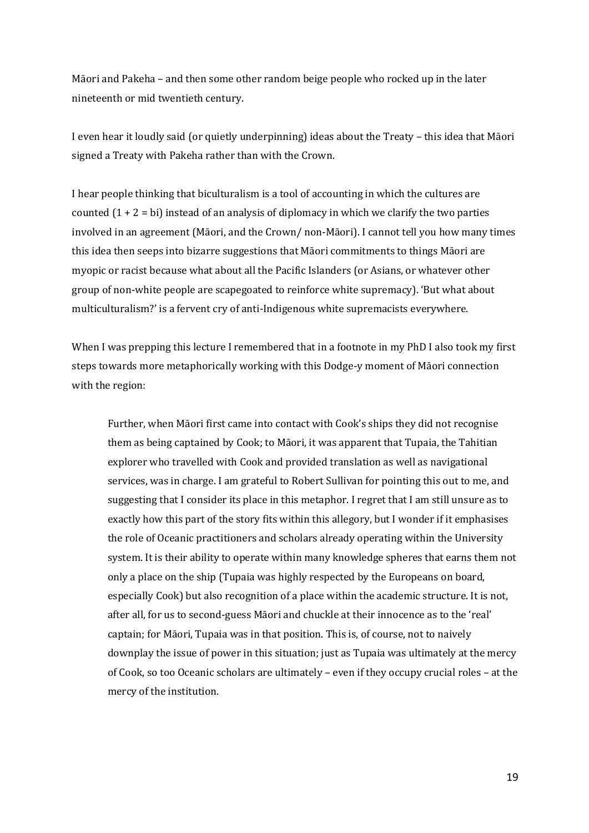Māori and Pakeha – and then some other random beige people who rocked up in the later nineteenth or mid twentieth century. 

I even hear it loudly said (or quietly underpinning) ideas about the Treaty – this idea that Māori signed a Treaty with Pakeha rather than with the Crown.

I hear people thinking that biculturalism is a tool of accounting in which the cultures are counted  $(1 + 2 = bi)$  instead of an analysis of diplomacy in which we clarify the two parties involved in an agreement (Māori, and the Crown/ non-Māori). I cannot tell you how many times this idea then seeps into bizarre suggestions that Māori commitments to things Māori are myopic or racist because what about all the Pacific Islanders (or Asians, or whatever other group of non-white people are scapegoated to reinforce white supremacy). 'But what about multiculturalism?' is a fervent cry of anti-Indigenous white supremacists everywhere.

When I was prepping this lecture I remembered that in a footnote in my PhD I also took my first steps towards more metaphorically working with this Dodge-y moment of Māori connection with the region:

Further, when Māori first came into contact with Cook's ships they did not recognise them as being captained by Cook; to Māori, it was apparent that Tupaia, the Tahitian explorer who travelled with Cook and provided translation as well as navigational services, was in charge. I am grateful to Robert Sullivan for pointing this out to me, and suggesting that I consider its place in this metaphor. I regret that I am still unsure as to exactly how this part of the story fits within this allegory, but I wonder if it emphasises the role of Oceanic practitioners and scholars already operating within the University system. It is their ability to operate within many knowledge spheres that earns them not only a place on the ship (Tupaia was highly respected by the Europeans on board, especially Cook) but also recognition of a place within the academic structure. It is not, after all, for us to second-guess Māori and chuckle at their innocence as to the 'real' captain; for Māori, Tupaia was in that position. This is, of course, not to naively downplay the issue of power in this situation; just as Tupaia was ultimately at the mercy of Cook, so too Oceanic scholars are ultimately – even if they occupy crucial roles – at the mercy of the institution.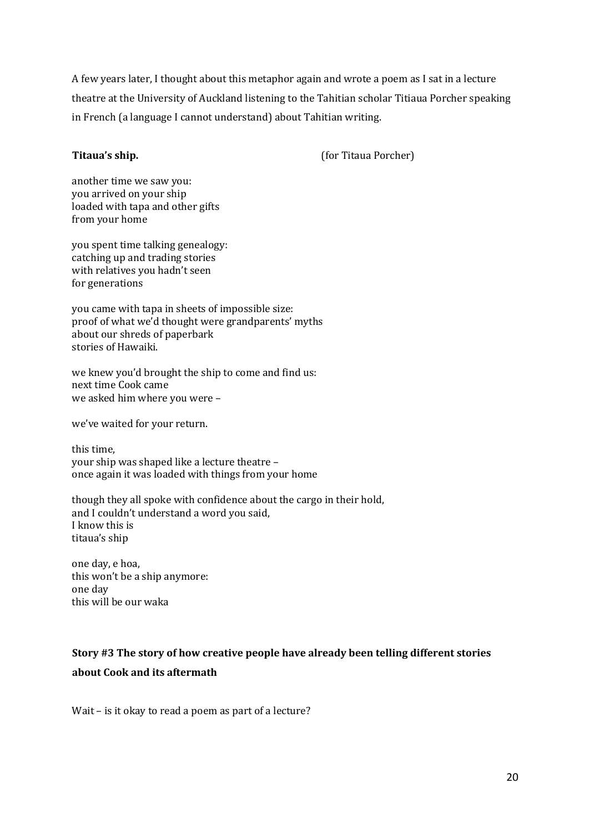A few years later, I thought about this metaphor again and wrote a poem as I sat in a lecture theatre at the University of Auckland listening to the Tahitian scholar Titiaua Porcher speaking in French (a language I cannot understand) about Tahitian writing.

**Titaua's ship.** (for Titaua Porcher)

another time we saw you: you arrived on your ship loaded with tapa and other gifts from your home

you spent time talking genealogy: catching up and trading stories with relatives you hadn't seen for generations

you came with tapa in sheets of impossible size: proof of what we'd thought were grandparents' myths about our shreds of paperbark stories of Hawaiki.

we knew you'd brought the ship to come and find us: next time Cook came we asked him where you were -

we've waited for your return.

this time, your ship was shaped like a lecture theatre once again it was loaded with things from your home

though they all spoke with confidence about the cargo in their hold, and I couldn't understand a word you said, I know this is titaua's ship

one day, e hoa, this won't be a ship anymore: one day this will be our waka

# **Story #3 The story of how creative people have already been telling different stories about Cook and its aftermath**

Wait  $-$  is it okay to read a poem as part of a lecture?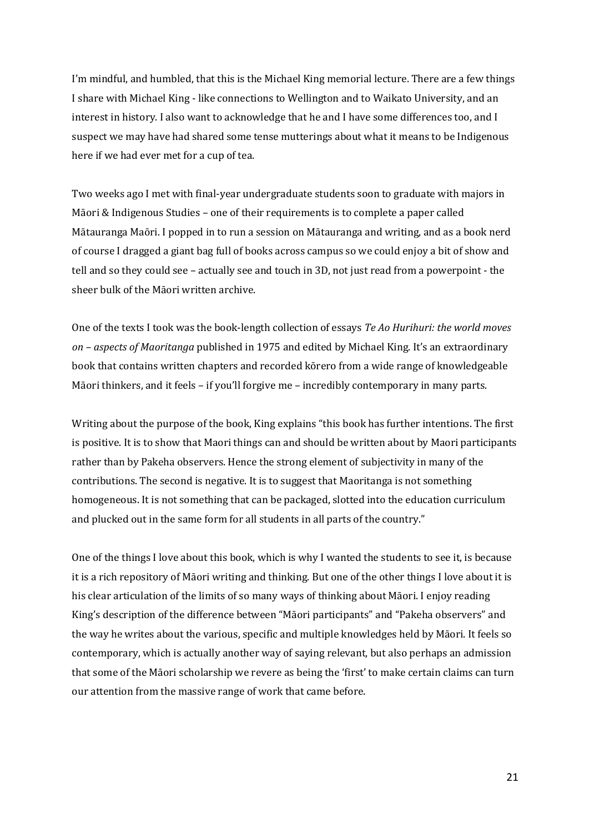I'm mindful, and humbled, that this is the Michael King memorial lecture. There are a few things I share with Michael King - like connections to Wellington and to Waikato University, and an interest in history. I also want to acknowledge that he and I have some differences too, and I suspect we may have had shared some tense mutterings about what it means to be Indigenous here if we had ever met for a cup of tea.

Two weeks ago I met with final-year undergraduate students soon to graduate with majors in Māori & Indigenous Studies – one of their requirements is to complete a paper called Mātauranga Maōri. I popped in to run a session on Mātauranga and writing, and as a book nerd of course I dragged a giant bag full of books across campus so we could enjoy a bit of show and tell and so they could see - actually see and touch in 3D, not just read from a powerpoint - the sheer bulk of the Māori written archive.

One of the texts I took was the book-length collection of essays *Te Ao Hurihuri: the world moves on* – *aspects of Maoritanga* published in 1975 and edited by Michael King. It's an extraordinary book that contains written chapters and recorded kōrero from a wide range of knowledgeable Māori thinkers, and it feels - if you'll forgive me - incredibly contemporary in many parts.

Writing about the purpose of the book, King explains "this book has further intentions. The first is positive. It is to show that Maori things can and should be written about by Maori participants rather than by Pakeha observers. Hence the strong element of subjectivity in many of the contributions. The second is negative. It is to suggest that Maoritanga is not something homogeneous. It is not something that can be packaged, slotted into the education curriculum and plucked out in the same form for all students in all parts of the country."

One of the things I love about this book, which is why I wanted the students to see it, is because it is a rich repository of Māori writing and thinking. But one of the other things I love about it is his clear articulation of the limits of so many ways of thinking about Māori. I enjoy reading King's description of the difference between "Māori participants" and "Pakeha observers" and the way he writes about the various, specific and multiple knowledges held by Māori. It feels so contemporary, which is actually another way of saying relevant, but also perhaps an admission that some of the Māori scholarship we revere as being the 'first' to make certain claims can turn our attention from the massive range of work that came before.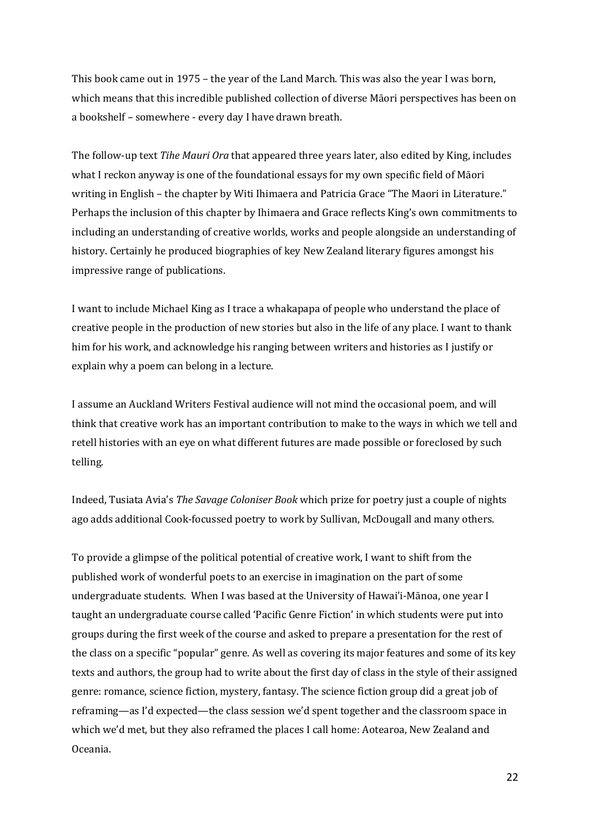This book came out in 1975 – the year of the Land March. This was also the year I was born, which means that this incredible published collection of diverse Māori perspectives has been on a bookshelf - somewhere - every day I have drawn breath.

The follow-up text *Tihe Mauri Ora* that appeared three years later, also edited by King, includes what I reckon anyway is one of the foundational essays for my own specific field of Māori writing in English – the chapter by Witi Ihimaera and Patricia Grace "The Maori in Literature." Perhaps the inclusion of this chapter by Ihimaera and Grace reflects King's own commitments to including an understanding of creative worlds, works and people alongside an understanding of history. Certainly he produced biographies of key New Zealand literary figures amongst his impressive range of publications.

I want to include Michael King as I trace a whakapapa of people who understand the place of creative people in the production of new stories but also in the life of any place. I want to thank him for his work, and acknowledge his ranging between writers and histories as I justify or explain why a poem can belong in a lecture.

I assume an Auckland Writers Festival audience will not mind the occasional poem, and will think that creative work has an important contribution to make to the ways in which we tell and retell histories with an eye on what different futures are made possible or foreclosed by such telling. 

Indeed, Tusiata Avia's *The Savage Coloniser Book* which prize for poetry just a couple of nights ago adds additional Cook-focussed poetry to work by Sullivan, McDougall and many others.

To provide a glimpse of the political potential of creative work, I want to shift from the published work of wonderful poets to an exercise in imagination on the part of some undergraduate students. When I was based at the University of Hawai'i-Mānoa, one year I taught an undergraduate course called 'Pacific Genre Fiction' in which students were put into groups during the first week of the course and asked to prepare a presentation for the rest of the class on a specific "popular" genre. As well as covering its major features and some of its key texts and authors, the group had to write about the first day of class in the style of their assigned genre: romance, science fiction, mystery, fantasy. The science fiction group did a great job of reframing—as I'd expected—the class session we'd spent together and the classroom space in which we'd met, but they also reframed the places I call home: Aotearoa, New Zealand and Oceania.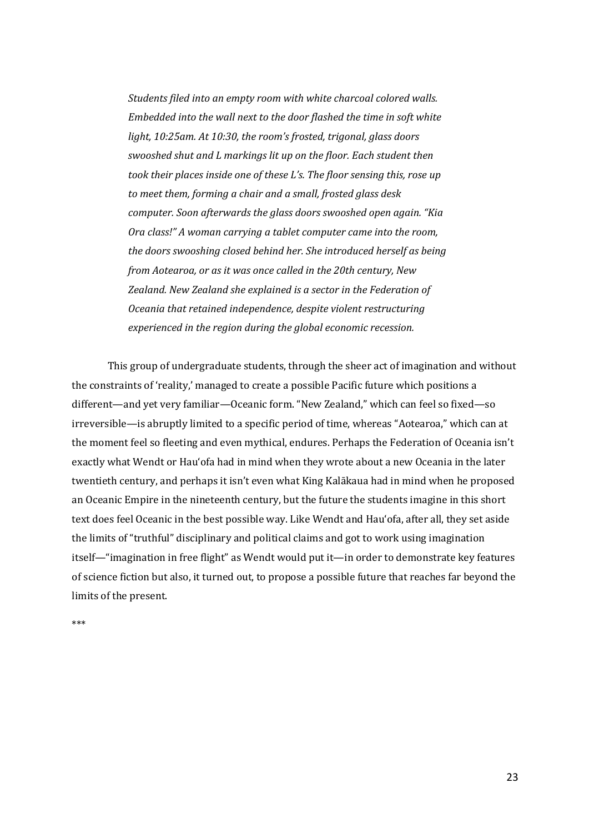Students filed into an empty room with white charcoal colored walls. *Embedded into the wall next to the door flashed the time in soft white* light, 10:25am. At 10:30, the room's frosted, trigonal, glass doors swooshed shut and L markings lit up on the floor. Each student then *took their places inside one of these L's. The floor sensing this, rose up* to meet them, forming a chair and a small, frosted glass desk *computer.* Soon afterwards the glass doors swooshed open again. "Kia *Ora class!"* A woman carrying a tablet computer came into the room, *the doors swooshing closed behind her. She introduced herself as being from Aotearoa, or as it was once called in the 20th century, New Zealand. New Zealand she explained is a sector in the Federation of Oceania that retained independence, despite violent restructuring experienced in the region during the global economic recession.* 

This group of undergraduate students, through the sheer act of imagination and without the constraints of 'reality,' managed to create a possible Pacific future which positions a different—and yet very familiar—Oceanic form. "New Zealand," which can feel so fixed—so irreversible—is abruptly limited to a specific period of time, whereas "Aotearoa," which can at the moment feel so fleeting and even mythical, endures. Perhaps the Federation of Oceania isn't exactly what Wendt or Hau'ofa had in mind when they wrote about a new Oceania in the later twentieth century, and perhaps it isn't even what King Kalākaua had in mind when he proposed an Oceanic Empire in the nineteenth century, but the future the students imagine in this short text does feel Oceanic in the best possible way. Like Wendt and Hau'ofa, after all, they set aside the limits of "truthful" disciplinary and political claims and got to work using imagination itself—"imagination in free flight" as Wendt would put it—in order to demonstrate key features of science fiction but also, it turned out, to propose a possible future that reaches far beyond the limits of the present.

\*\*\*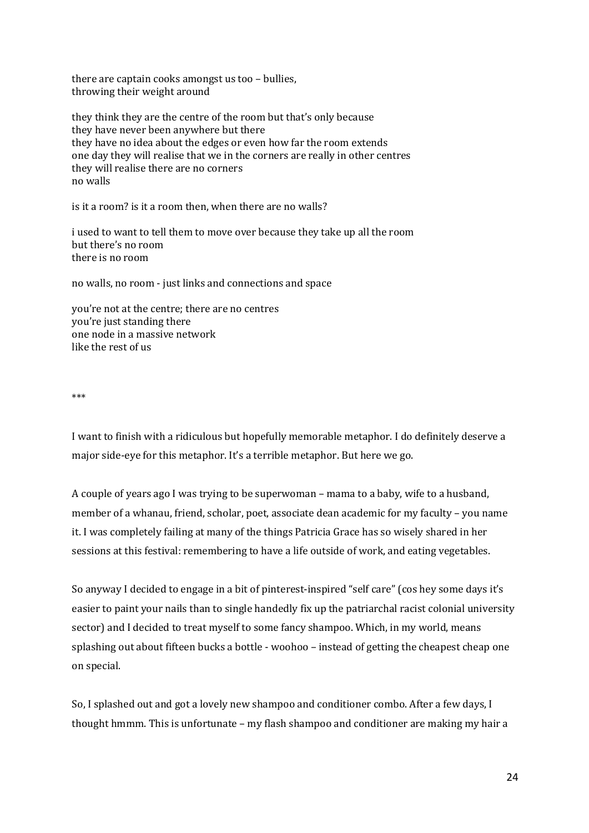there are captain cooks amongst us too  $-$  bullies, throwing their weight around

they think they are the centre of the room but that's only because they have never been anywhere but there they have no idea about the edges or even how far the room extends one day they will realise that we in the corners are really in other centres they will realise there are no corners no walls

is it a room? is it a room then, when there are no walls?

i used to want to tell them to move over because they take up all the room but there's no room there is no room

no walls, no room - just links and connections and space

you're not at the centre; there are no centres you're just standing there one node in a massive network like the rest of us

\*\*\* 

I want to finish with a ridiculous but hopefully memorable metaphor. I do definitely deserve a major side-eye for this metaphor. It's a terrible metaphor. But here we go.

A couple of years ago I was trying to be superwoman – mama to a baby, wife to a husband, member of a whanau, friend, scholar, poet, associate dean academic for my faculty – you name it. I was completely failing at many of the things Patricia Grace has so wisely shared in her sessions at this festival: remembering to have a life outside of work, and eating vegetables.

So anyway I decided to engage in a bit of pinterest-inspired "self care" (cos hey some days it's easier to paint your nails than to single handedly fix up the patriarchal racist colonial university sector) and I decided to treat myself to some fancy shampoo. Which, in my world, means splashing out about fifteen bucks a bottle - woohoo – instead of getting the cheapest cheap one on special. 

So, I splashed out and got a lovely new shampoo and conditioner combo. After a few days, I thought hmmm. This is unfortunate – my flash shampoo and conditioner are making my hair a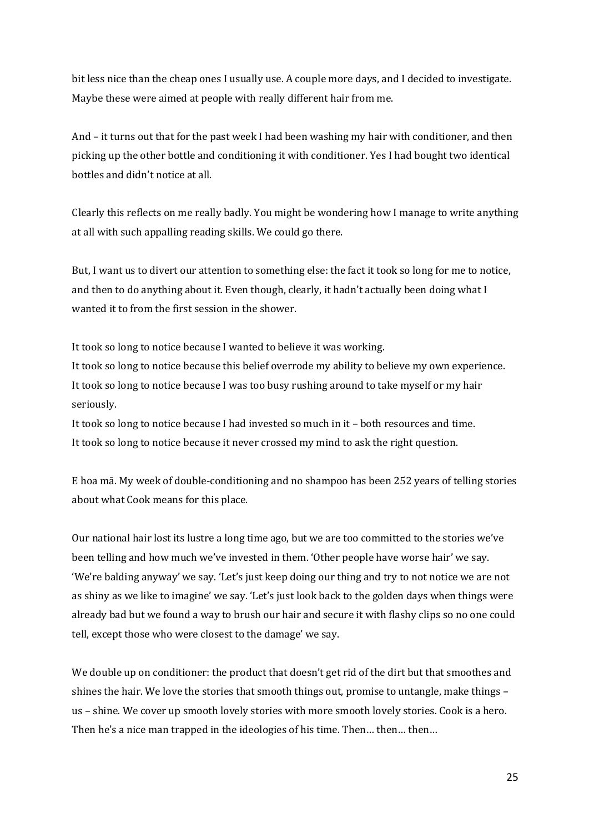bit less nice than the cheap ones I usually use. A couple more days, and I decided to investigate. Maybe these were aimed at people with really different hair from me.

And  $-$  it turns out that for the past week I had been washing my hair with conditioner, and then picking up the other bottle and conditioning it with conditioner. Yes I had bought two identical bottles and didn't notice at all.

Clearly this reflects on me really badly. You might be wondering how I manage to write anything at all with such appalling reading skills. We could go there.

But, I want us to divert our attention to something else: the fact it took so long for me to notice, and then to do anything about it. Even though, clearly, it hadn't actually been doing what  $I$ wanted it to from the first session in the shower.

It took so long to notice because I wanted to believe it was working. It took so long to notice because this belief overrode my ability to believe my own experience. It took so long to notice because I was too busy rushing around to take myself or my hair seriously. 

It took so long to notice because I had invested so much in it - both resources and time. It took so long to notice because it never crossed my mind to ask the right question.

E hoa mā. My week of double-conditioning and no shampoo has been 252 years of telling stories about what Cook means for this place.

Our national hair lost its lustre a long time ago, but we are too committed to the stories we've been telling and how much we've invested in them. 'Other people have worse hair' we say. 'We're balding anyway' we say. 'Let's just keep doing our thing and try to not notice we are not as shiny as we like to imagine' we say. 'Let's just look back to the golden days when things were already bad but we found a way to brush our hair and secure it with flashy clips so no one could tell, except those who were closest to the damage' we say.

We double up on conditioner: the product that doesn't get rid of the dirt but that smoothes and shines the hair. We love the stories that smooth things out, promise to untangle, make things – us – shine. We cover up smooth lovely stories with more smooth lovely stories. Cook is a hero. Then he's a nice man trapped in the ideologies of his time. Then... then... then...